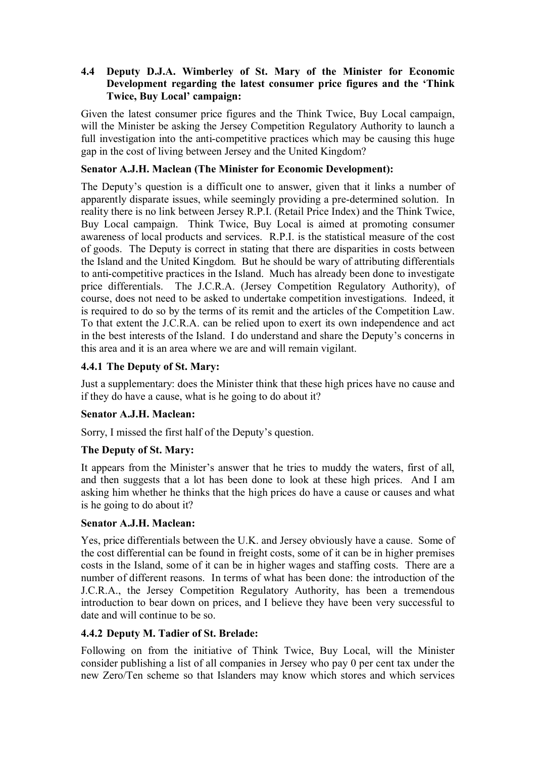## **4.4** � **Deputy D.J.A. Wimberley of St. Mary of the Minister for Economic Development regarding the latest consumer price figures and the 'Think Twice, Buy Local' campaign:**

Given the latest consumer price figures and the Think Twice, Buy Local campaign, will the Minister be asking the Jersey Competition Regulatory Authority to launch a full investigation into the anti-competitive practices which may be causing this huge gap in the cost of living between Jersey and the United Kingdom?

## **Senator A.J.H. Maclean (The Minister for Economic Development):**

The Deputy's question is a difficult one to answer, given that it links a number of apparently disparate issues, while seemingly providing a pre-determined solution. In reality there is no link between Jersey R.P.I. (Retail Price Index) and the Think Twice, Buy Local campaign. Think Twice, Buy Local is aimed at promoting consumer awareness of local products and services. R.P.I. is the statistical measure of the cost of goods. The Deputy is correct in stating that there are disparities in costs between the Island and the United Kingdom. But he should be wary of attributing differentials to anti-competitive practices in the Island. Much has already been done to investigate price differentials. The J.C.R.A. (Jersey Competition Regulatory Authority), of course, does not need to be asked to undertake competition investigations. Indeed, it is required to do so by the terms of its remit and the articles of the Competition Law. To that extent the J.C.R.A. can be relied upon to exert its own independence and act in the best interests of the Island. I do understand and share the Deputy's concerns in this area and it is an area where we are and will remain vigilant.

## **4.4.1 The Deputy of St. Mary:**

Just a supplementary: does the Minister think that these high prices have no cause and if they do have a cause, what is he going to do about it?

#### **Senator A.J.H. Maclean:**

Sorry, I missed the first half of the Deputy's question.

## **The Deputy of St. Mary:**

It appears from the Minister's answer that he tries to muddy the waters, first of all, and then suggests that a lot has been done to look at these high prices. And I am asking him whether he thinks that the high prices do have a cause or causes and what is he going to do about it?

#### **Senator A.J.H. Maclean:**

Yes, price differentials between the U.K. and Jersey obviously have a cause. Some of the cost differential can be found in freight costs, some of it can be in higher premises costs in the Island, some of it can be in higher wages and staffing costs. There are a number of different reasons. In terms of what has been done: the introduction of the J.C.R.A., the Jersey Competition Regulatory Authority, has been a tremendous introduction to bear down on prices, and I believe they have been very successful to date and will continue to be so.

## **4.4.2 Deputy M. Tadier of St. Brelade:**

Following on from the initiative of Think Twice, Buy Local, will the Minister consider publishing a list of all companies in Jersey who pay 0 per cent tax under the new Zero/Ten scheme so that Islanders may know which stores and which services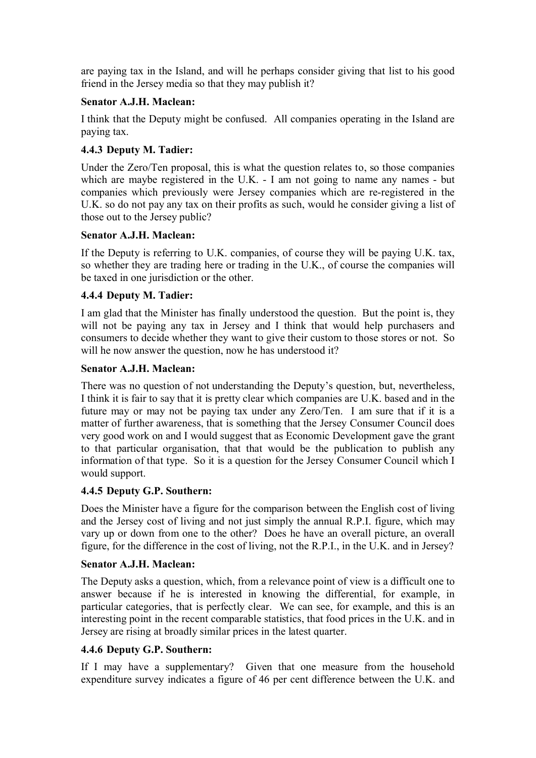are paying tax in the Island, and will he perhaps consider giving that list to his good friend in the Jersey media so that they may publish it?

#### **Senator A.J.H. Maclean:**

I think that the Deputy might be confused. All companies operating in the Island are paying tax.

#### **4.4.3 Deputy M. Tadier:**

Under the Zero/Ten proposal, this is what the question relates to, so those companies which are maybe registered in the U.K. - I am not going to name any names - but companies which previously were Jersey companies which are re-registered in the U.K. so do not pay any tax on their profits as such, would he consider giving a list of those out to the Jersey public?

#### **Senator A.J.H. Maclean:**

If the Deputy is referring to U.K. companies, of course they will be paying U.K. tax, so whether they are trading here or trading in the U.K., of course the companies will be taxed in one jurisdiction or the other.

## **4.4.4 Deputy M. Tadier:**

I am glad that the Minister has finally understood the question. But the point is, they will not be paying any tax in Jersey and I think that would help purchasers and consumers to decide whether they want to give their custom to those stores or not. So will he now answer the question, now he has understood it?

#### **Senator A.J.H. Maclean:**

There was no question of not understanding the Deputy's question, but, nevertheless, I think it is fair to say that it is pretty clear which companies are U.K. based and in the future may or may not be paying tax under any Zero/Ten. I am sure that if it is a matter of further awareness, that is something that the Jersey Consumer Council does very good work on and I would suggest that as Economic Development gave the grant to that particular organisation, that that would be the publication to publish any information of that type. So it is a question for the Jersey Consumer Council which I would support.

## **4.4.5 Deputy G.P. Southern:**

Does the Minister have a figure for the comparison between the English cost of living and the Jersey cost of living and not just simply the annual R.P.I. figure, which may vary up or down from one to the other? Does he have an overall picture, an overall figure, for the difference in the cost of living, not the R.P.I., in the U.K. and in Jersey?

#### **Senator A.J.H. Maclean:**

The Deputy asks a question, which, from a relevance point of view is a difficult one to answer because if he is interested in knowing the differential, for example, in particular categories, that is perfectly clear. We can see, for example, and this is an interesting point in the recent comparable statistics, that food prices in the U.K. and in Jersey are rising at broadly similar prices in the latest quarter.

## **4.4.6 Deputy G.P. Southern:**

If I may have a supplementary? Given that one measure from the household expenditure survey indicates a figure of 46 per cent difference between the U.K. and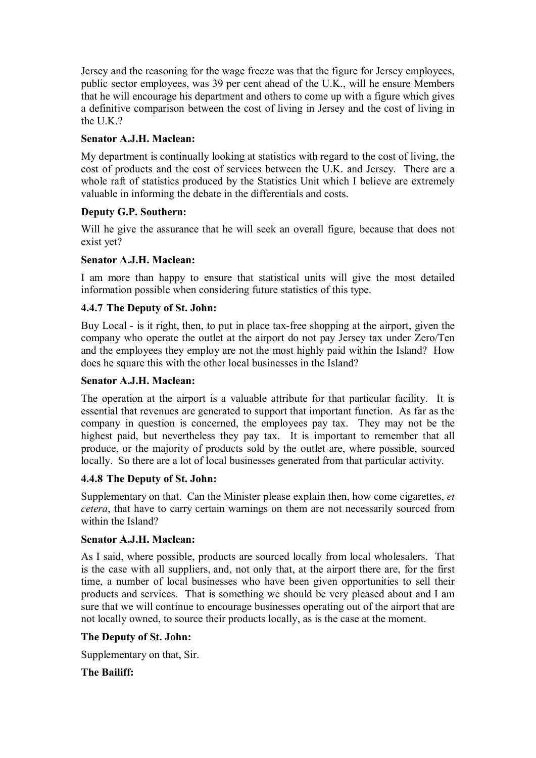Jersey and the reasoning for the wage freeze was that the figure for Jersey employees, public sector employees, was 39 per cent ahead of the U.K., will he ensure Members that he will encourage his department and others to come up with a figure which gives a definitive comparison between the cost of living in Jersey and the cost of living in the UK $2$ 

## **Senator A.J.H. Maclean:**

My department is continually looking at statistics with regard to the cost of living, the cost of products and the cost of services between the U.K. and Jersey. There are a whole raft of statistics produced by the Statistics Unit which I believe are extremely valuable in informing the debate in the differentials and costs.

## **Deputy G.P. Southern:**

Will he give the assurance that he will seek an overall figure, because that does not exist yet?

# **Senator A.J.H. Maclean:**

I am more than happy to ensure that statistical units will give the most detailed information possible when considering future statistics of this type.

# **4.4.7 The Deputy of St. John:**

Buy Local - is it right, then, to put in place tax-free shopping at the airport, given the company who operate the outlet at the airport do not pay Jersey tax under Zero/Ten and the employees they employ are not the most highly paid within the Island? How does he square this with the other local businesses in the Island?

## **Senator A.J.H. Maclean:**

The operation at the airport is a valuable attribute for that particular facility. It is essential that revenues are generated to support that important function. As far as the company in question is concerned, the employees pay tax. They may not be the highest paid, but nevertheless they pay tax. It is important to remember that all produce, or the majority of products sold by the outlet are, where possible, sourced locally. So there are a lot of local businesses generated from that particular activity.

## **4.4.8 The Deputy of St. John:**

Supplementary on that. Can the Minister please explain then, how come cigarettes, *et cetera*, that have to carry certain warnings on them are not necessarily sourced from within the Island?

## **Senator A.J.H. Maclean:**

As I said, where possible, products are sourced locally from local wholesalers. That is the case with all suppliers, and, not only that, at the airport there are, for the first time, a number of local businesses who have been given opportunities to sell their products and services. That is something we should be very pleased about and I am sure that we will continue to encourage businesses operating out of the airport that are not locally owned, to source their products locally, as is the case at the moment.

## **The Deputy of St. John:**

Supplementary on that, Sir.

## **The Bailiff:**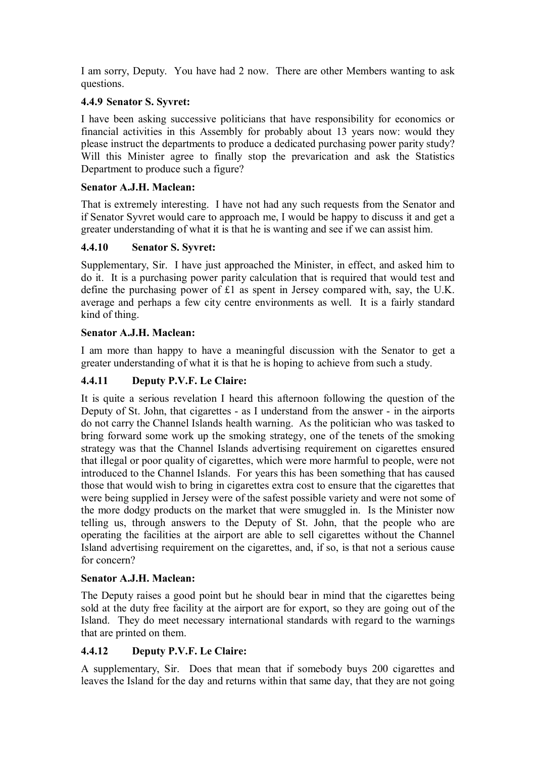I am sorry, Deputy. You have had 2 now. There are other Members wanting to ask questions.

# **4.4.9 Senator S. Syvret:**

I have been asking successive politicians that have responsibility for economics or financial activities in this Assembly for probably about 13 years now: would they please instruct the departments to produce a dedicated purchasing power parity study? Will this Minister agree to finally stop the prevarication and ask the Statistics Department to produce such a figure?

## **Senator A.J.H. Maclean:**

That is extremely interesting. I have not had any such requests from the Senator and if Senator Syvret would care to approach me, I would be happy to discuss it and get a greater understanding of what it is that he is wanting and see if we can assist him.

# **4.4.10 Senator S. Syvret:**

Supplementary, Sir. I have just approached the Minister, in effect, and asked him to do it. It is a purchasing power parity calculation that is required that would test and define the purchasing power of £1 as spent in Jersey compared with, say, the U.K. average and perhaps a few city centre environments as well. It is a fairly standard kind of thing.

# **Senator A.J.H. Maclean:**

I am more than happy to have a meaningful discussion with the Senator to get a greater understanding of what it is that he is hoping to achieve from such a study.

# **4.4.11 Deputy P.V.F. Le Claire:**

It is quite a serious revelation I heard this afternoon following the question of the Deputy of St. John, that cigarettes - as I understand from the answer - in the airports do not carry the Channel Islands health warning. As the politician who was tasked to bring forward some work up the smoking strategy, one of the tenets of the smoking strategy was that the Channel Islands advertising requirement on cigarettes ensured that illegal or poor quality of cigarettes, which were more harmful to people, were not introduced to the Channel Islands. For years this has been something that has caused those that would wish to bring in cigarettes extra cost to ensure that the cigarettes that were being supplied in Jersey were of the safest possible variety and were not some of the more dodgy products on the market that were smuggled in. Is the Minister now telling us, through answers to the Deputy of St. John, that the people who are operating the facilities at the airport are able to sell cigarettes without the Channel Island advertising requirement on the cigarettes, and, if so, is that not a serious cause for concern?

## **Senator A.J.H. Maclean:**

The Deputy raises a good point but he should bear in mind that the cigarettes being sold at the duty free facility at the airport are for export, so they are going out of the Island. They do meet necessary international standards with regard to the warnings that are printed on them.

# **4.4.12 Deputy P.V.F. Le Claire:**

A supplementary, Sir. Does that mean that if somebody buys 200 cigarettes and leaves the Island for the day and returns within that same day, that they are not going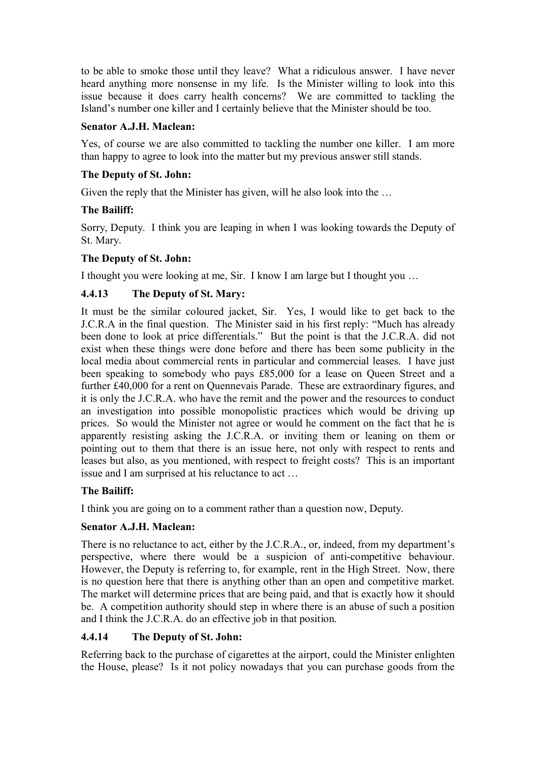to be able to smoke those until they leave? What a ridiculous answer. I have never heard anything more nonsense in my life. Is the Minister willing to look into this issue because it does carry health concerns? We are committed to tackling the Island's number one killer and I certainly believe that the Minister should be too.

#### **Senator A.J.H. Maclean:**

Yes, of course we are also committed to tackling the number one killer. I am more than happy to agree to look into the matter but my previous answer still stands.

#### **The Deputy of St. John:**

Given the reply that the Minister has given, will he also look into the …

#### **The Bailiff:**

Sorry, Deputy. I think you are leaping in when I was looking towards the Deputy of St. Mary.

#### **The Deputy of St. John:**

I thought you were looking at me, Sir. I know I am large but I thought you …

## **4.4.13 The Deputy of St. Mary:**

It must be the similar coloured jacket, Sir. Yes, I would like to get back to the J.C.R.A in the final question. The Minister said in his first reply: "Much has already been done to look at price differentials." But the point is that the J.C.R.A. did not exist when these things were done before and there has been some publicity in the local media about commercial rents in particular and commercial leases. I have just been speaking to somebody who pays £85,000 for a lease on Queen Street and a further £40,000 for a rent on Quennevais Parade. These are extraordinary figures, and it is only the J.C.R.A. who have the remit and the power and the resources to conduct an investigation into possible monopolistic practices which would be driving up prices. So would the Minister not agree or would he comment on the fact that he is apparently resisting asking the J.C.R.A. or inviting them or leaning on them or pointing out to them that there is an issue here, not only with respect to rents and leases but also, as you mentioned, with respect to freight costs? This is an important issue and I am surprised at his reluctance to act …

## **The Bailiff:**

I think you are going on to a comment rather than a question now, Deputy.

## **Senator A.J.H. Maclean:**

There is no reluctance to act, either by the J.C.R.A., or, indeed, from my department's perspective, where there would be a suspicion of anti-competitive behaviour. However, the Deputy is referring to, for example, rent in the High Street. Now, there is no question here that there is anything other than an open and competitive market. The market will determine prices that are being paid, and that is exactly how it should be. A competition authority should step in where there is an abuse of such a position and I think the J.C.R.A. do an effective job in that position.

## **4.4.14 The Deputy of St. John:**

Referring back to the purchase of cigarettes at the airport, could the Minister enlighten the House, please? Is it not policy nowadays that you can purchase goods from the